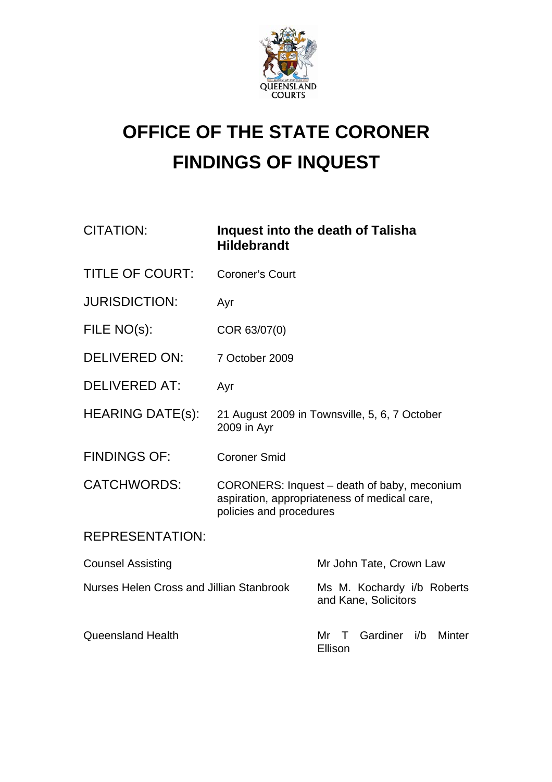

## **OFFICE OF THE STATE CORONER FINDINGS OF INQUEST**

| <b>CITATION:</b>                         | <b>Hildebrandt</b>      | Inquest into the death of Talisha                                                           |
|------------------------------------------|-------------------------|---------------------------------------------------------------------------------------------|
| <b>TITLE OF COURT:</b>                   | <b>Coroner's Court</b>  |                                                                                             |
| <b>JURISDICTION:</b>                     | Ayr                     |                                                                                             |
| FILE NO(s):                              | COR 63/07(0)            |                                                                                             |
| <b>DELIVERED ON:</b>                     | 7 October 2009          |                                                                                             |
| <b>DELIVERED AT:</b>                     | Ayr                     |                                                                                             |
| <b>HEARING DATE(s):</b>                  | 2009 in Ayr             | 21 August 2009 in Townsville, 5, 6, 7 October                                               |
| <b>FINDINGS OF:</b>                      | <b>Coroner Smid</b>     |                                                                                             |
| <b>CATCHWORDS:</b>                       | policies and procedures | CORONERS: Inquest – death of baby, meconium<br>aspiration, appropriateness of medical care, |
| <b>REPRESENTATION:</b>                   |                         |                                                                                             |
| <b>Counsel Assisting</b>                 |                         | Mr John Tate, Crown Law                                                                     |
| Nurses Helen Cross and Jillian Stanbrook |                         | Ms M. Kochardy i/b Roberts<br>and Kane, Solicitors                                          |
| <b>Queensland Health</b>                 |                         | Gardiner<br><b>Minter</b><br>Mr<br>i/b<br>Τ<br>Ellison                                      |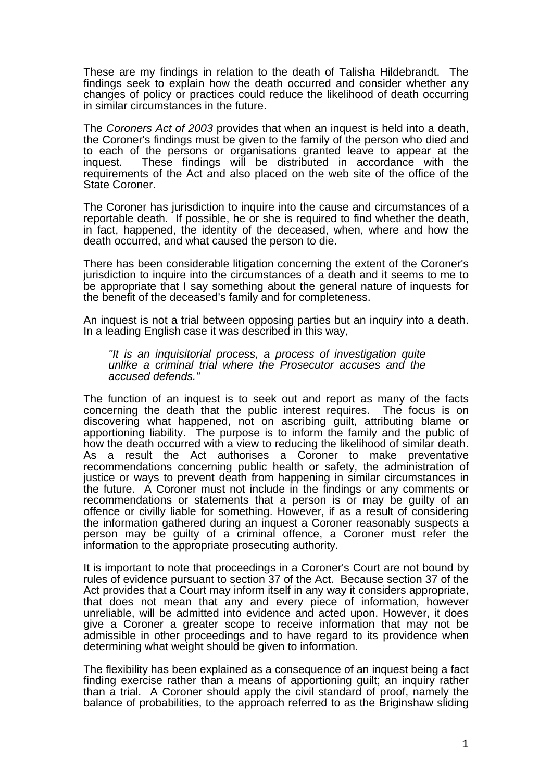These are my findings in relation to the death of Talisha Hildebrandt. The findings seek to explain how the death occurred and consider whether any changes of policy or practices could reduce the likelihood of death occurring in similar circumstances in the future.

The *Coroners Act of 2003* provides that when an inquest is held into a death, the Coroner's findings must be given to the family of the person who died and to each of the persons or organisations granted leave to appear at the inquest. These findings will be distributed in accordance with the requirements of the Act and also placed on the web site of the office of the State Coroner.

The Coroner has jurisdiction to inquire into the cause and circumstances of a reportable death. If possible, he or she is required to find whether the death, in fact, happened, the identity of the deceased, when, where and how the death occurred, and what caused the person to die.

There has been considerable litigation concerning the extent of the Coroner's jurisdiction to inquire into the circumstances of a death and it seems to me to be appropriate that I say something about the general nature of inquests for the benefit of the deceased's family and for completeness.

An inquest is not a trial between opposing parties but an inquiry into a death. In a leading English case it was described in this way,

*"It is an inquisitorial process, a process of investigation quite unlike a criminal trial where the Prosecutor accuses and the accused defends."* 

The function of an inquest is to seek out and report as many of the facts concerning the death that the public interest requires. The focus is on concerning the death that the public interest requires. discovering what happened, not on ascribing guilt, attributing blame or apportioning liability. The purpose is to inform the family and the public of how the death occurred with a view to reducing the likelihood of similar death. As a result the Act authorises a Coroner to make preventative recommendations concerning public health or safety, the administration of justice or ways to prevent death from happening in similar circumstances in the future. A Coroner must not include in the findings or any comments or recommendations or statements that a person is or may be guilty of an offence or civilly liable for something. However, if as a result of considering the information gathered during an inquest a Coroner reasonably suspects a person may be guilty of a criminal offence, a Coroner must refer the information to the appropriate prosecuting authority.

It is important to note that proceedings in a Coroner's Court are not bound by rules of evidence pursuant to section 37 of the Act. Because section 37 of the Act provides that a Court may inform itself in any way it considers appropriate, that does not mean that any and every piece of information, however unreliable, will be admitted into evidence and acted upon. However, it does give a Coroner a greater scope to receive information that may not be admissible in other proceedings and to have regard to its providence when determining what weight should be given to information.

The flexibility has been explained as a consequence of an inquest being a fact finding exercise rather than a means of apportioning guilt; an inquiry rather than a trial. A Coroner should apply the civil standard of proof, namely the balance of probabilities, to the approach referred to as the Briginshaw sliding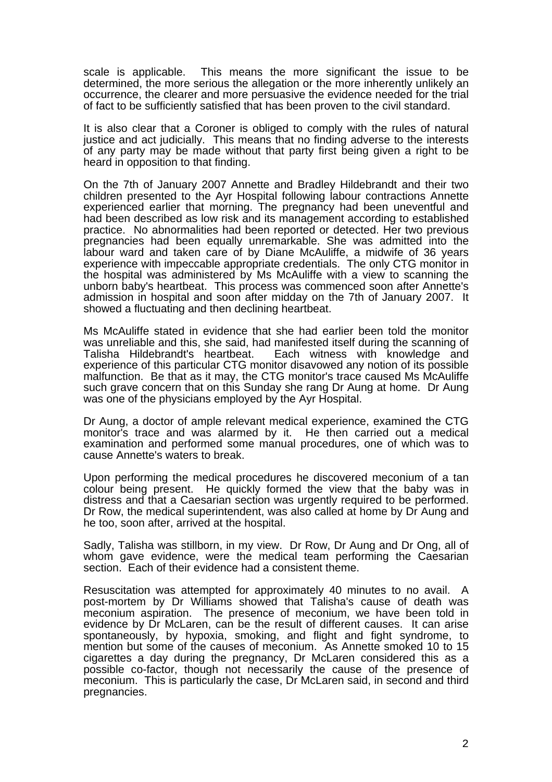scale is applicable. This means the more significant the issue to be determined, the more serious the allegation or the more inherently unlikely an occurrence, the clearer and more persuasive the evidence needed for the trial of fact to be sufficiently satisfied that has been proven to the civil standard.

It is also clear that a Coroner is obliged to comply with the rules of natural justice and act judicially. This means that no finding adverse to the interests of any party may be made without that party first being given a right to be heard in opposition to that finding.

On the 7th of January 2007 Annette and Bradley Hildebrandt and their two children presented to the Ayr Hospital following labour contractions Annette experienced earlier that morning. The pregnancy had been uneventful and had been described as low risk and its management according to established practice. No abnormalities had been reported or detected. Her two previous pregnancies had been equally unremarkable. She was admitted into the labour ward and taken care of by Diane McAuliffe, a midwife of 36 years experience with impeccable appropriate credentials. The only CTG monitor in the hospital was administered by Ms McAuliffe with a view to scanning the unborn baby's heartbeat. This process was commenced soon after Annette's admission in hospital and soon after midday on the 7th of January 2007. It showed a fluctuating and then declining heartbeat.

Ms McAuliffe stated in evidence that she had earlier been told the monitor was unreliable and this, she said, had manifested itself during the scanning of Talisha Hildebrandt's heartbeat. Each witness with knowledge and Each witness with knowledge and experience of this particular CTG monitor disavowed any notion of its possible malfunction. Be that as it may, the CTG monitor's trace caused Ms McAuliffe such grave concern that on this Sunday she rang Dr Aung at home. Dr Aung was one of the physicians employed by the Ayr Hospital.

Dr Aung, a doctor of ample relevant medical experience, examined the CTG monitor's trace and was alarmed by it. He then carried out a medical examination and performed some manual procedures, one of which was to cause Annette's waters to break.

Upon performing the medical procedures he discovered meconium of a tan colour being present. He quickly formed the view that the baby was in distress and that a Caesarian section was urgently required to be performed. Dr Row, the medical superintendent, was also called at home by Dr Aung and he too, soon after, arrived at the hospital.

Sadly, Talisha was stillborn, in my view. Dr Row, Dr Aung and Dr Ong, all of whom gave evidence, were the medical team performing the Caesarian section. Each of their evidence had a consistent theme.

Resuscitation was attempted for approximately 40 minutes to no avail. A post-mortem by Dr Williams showed that Talisha's cause of death was meconium aspiration. The presence of meconium, we have been told in evidence by Dr McLaren, can be the result of different causes. It can arise spontaneously, by hypoxia, smoking, and flight and fight syndrome, to mention but some of the causes of meconium. As Annette smoked 10 to 15 cigarettes a day during the pregnancy, Dr McLaren considered this as a possible co-factor, though not necessarily the cause of the presence of meconium. This is particularly the case, Dr McLaren said, in second and third pregnancies.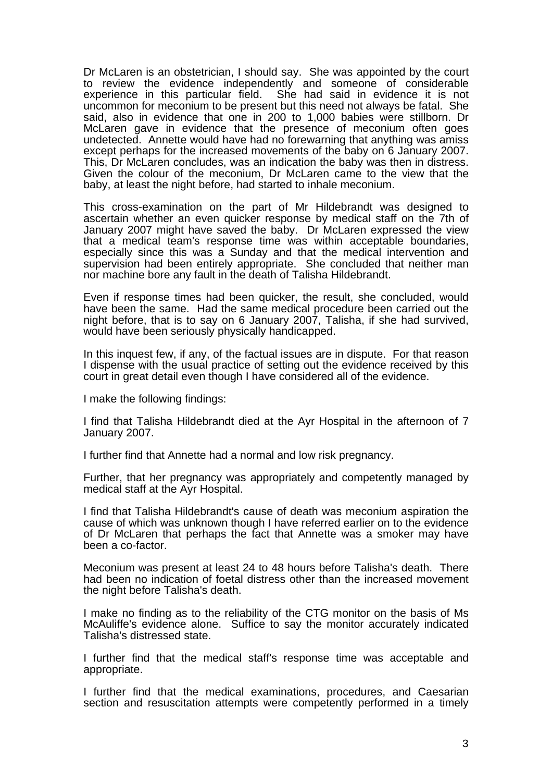Dr McLaren is an obstetrician, I should say. She was appointed by the court to review the evidence independently and someone of considerable She had said in evidence it is not uncommon for meconium to be present but this need not always be fatal. She said, also in evidence that one in 200 to 1,000 babies were stillborn. Dr McLaren gave in evidence that the presence of meconium often goes undetected. Annette would have had no forewarning that anything was amiss except perhaps for the increased movements of the baby on 6 January 2007. This, Dr McLaren concludes, was an indication the baby was then in distress. Given the colour of the meconium, Dr McLaren came to the view that the baby, at least the night before, had started to inhale meconium.

This cross-examination on the part of Mr Hildebrandt was designed to ascertain whether an even quicker response by medical staff on the 7th of January 2007 might have saved the baby. Dr McLaren expressed the view that a medical team's response time was within acceptable boundaries, especially since this was a Sunday and that the medical intervention and supervision had been entirely appropriate. She concluded that neither man nor machine bore any fault in the death of Talisha Hildebrandt.

Even if response times had been quicker, the result, she concluded, would have been the same. Had the same medical procedure been carried out the night before, that is to say on 6 January 2007, Talisha, if she had survived, would have been seriously physically handicapped.

In this inquest few, if any, of the factual issues are in dispute. For that reason I dispense with the usual practice of setting out the evidence received by this court in great detail even though I have considered all of the evidence.

I make the following findings:

I find that Talisha Hildebrandt died at the Ayr Hospital in the afternoon of 7 January 2007.

I further find that Annette had a normal and low risk pregnancy.

Further, that her pregnancy was appropriately and competently managed by medical staff at the Ayr Hospital.

I find that Talisha Hildebrandt's cause of death was meconium aspiration the cause of which was unknown though I have referred earlier on to the evidence of Dr McLaren that perhaps the fact that Annette was a smoker may have been a co-factor.

Meconium was present at least 24 to 48 hours before Talisha's death. There had been no indication of foetal distress other than the increased movement the night before Talisha's death.

I make no finding as to the reliability of the CTG monitor on the basis of Ms McAuliffe's evidence alone. Suffice to say the monitor accurately indicated Talisha's distressed state.

I further find that the medical staff's response time was acceptable and appropriate.

I further find that the medical examinations, procedures, and Caesarian section and resuscitation attempts were competently performed in a timely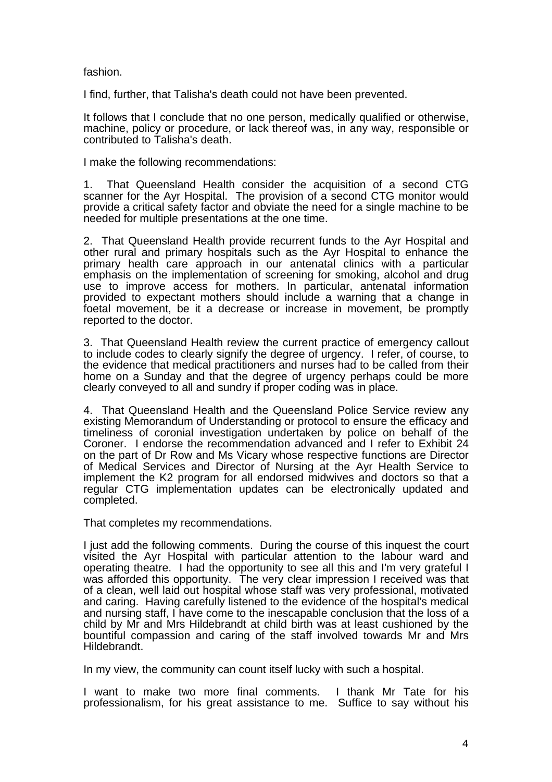fashion.

I find, further, that Talisha's death could not have been prevented.

It follows that I conclude that no one person, medically qualified or otherwise, machine, policy or procedure, or lack thereof was, in any way, responsible or contributed to Talisha's death.

I make the following recommendations:

1. That Queensland Health consider the acquisition of a second CTG scanner for the Ayr Hospital. The provision of a second CTG monitor would provide a critical safety factor and obviate the need for a single machine to be needed for multiple presentations at the one time.

2. That Queensland Health provide recurrent funds to the Ayr Hospital and other rural and primary hospitals such as the Ayr Hospital to enhance the primary health care approach in our antenatal clinics with a particular emphasis on the implementation of screening for smoking, alcohol and drug use to improve access for mothers. In particular, antenatal information provided to expectant mothers should include a warning that a change in foetal movement, be it a decrease or increase in movement, be promptly reported to the doctor.

3. That Queensland Health review the current practice of emergency callout to include codes to clearly signify the degree of urgency. I refer, of course, to the evidence that medical practitioners and nurses had to be called from their home on a Sunday and that the degree of urgency perhaps could be more clearly conveyed to all and sundry if proper coding was in place.

4. That Queensland Health and the Queensland Police Service review any existing Memorandum of Understanding or protocol to ensure the efficacy and timeliness of coronial investigation undertaken by police on behalf of the Coroner. I endorse the recommendation advanced and I refer to Exhibit 24 on the part of Dr Row and Ms Vicary whose respective functions are Director of Medical Services and Director of Nursing at the Ayr Health Service to implement the K2 program for all endorsed midwives and doctors so that a regular CTG implementation updates can be electronically updated and completed.

That completes my recommendations.

I just add the following comments. During the course of this inquest the court visited the Ayr Hospital with particular attention to the labour ward and operating theatre. I had the opportunity to see all this and I'm very grateful I was afforded this opportunity. The very clear impression I received was that of a clean, well laid out hospital whose staff was very professional, motivated and caring. Having carefully listened to the evidence of the hospital's medical and nursing staff, I have come to the inescapable conclusion that the loss of a child by Mr and Mrs Hildebrandt at child birth was at least cushioned by the bountiful compassion and caring of the staff involved towards Mr and Mrs Hildebrandt.

In my view, the community can count itself lucky with such a hospital.

I want to make two more final comments. I thank Mr Tate for his professionalism, for his great assistance to me. Suffice to say without his